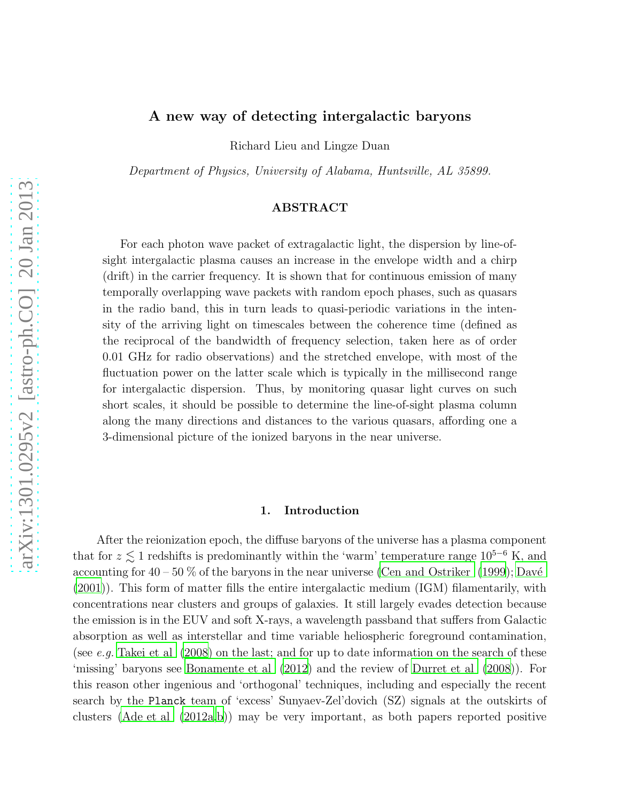# A new way of detecting intergalactic baryons

Richard Lieu and Lingze Duan

Department of Physics, University of Alabama, Huntsville, AL 35899.

## ABSTRACT

For each photon wave packet of extragalactic light, the dispersion by line-ofsight intergalactic plasma causes an increase in the envelope width and a chirp (drift) in the carrier frequency. It is shown that for continuous emission of many temporally overlapping wave packets with random epoch phases, such as quasars in the radio band, this in turn leads to quasi-periodic variations in the intensity of the arriving light on timescales between the coherence time (defined as the reciprocal of the bandwidth of frequency selection, taken here as of order 0.01 GHz for radio observations) and the stretched envelope, with most of the fluctuation power on the latter scale which is typically in the millisecond range for intergalactic dispersion. Thus, by monitoring quasar light curves on such short scales, it should be possible to determine the line-of-sight plasma column along the many directions and distances to the various quasars, affording one a 3-dimensional picture of the ionized baryons in the near universe.

## 1. Introduction

After the reionization epoch, the diffuse baryons of the universe has a plasma component that for  $z \lesssim 1$  redshifts is predominantly within the 'warm' temperature range  $10^{5-6}$  K, and accounting for  $40 - 50$ % of the baryons in the near universe [\(Cen and Ostriker \(1999\)](#page-7-0); Davé [\(2001\)](#page-7-1)). This form of matter fills the entire intergalactic medium (IGM) filamentarily, with concentrations near clusters and groups of galaxies. It still largely evades detection because the emission is in the EUV and soft X-rays, a wavelength passband that suffers from Galactic absorption as well as interstellar and time variable heliospheric foreground contamination, (see e.g. Takei et al  $(2008)$ ) on the last; and for up to date information on the search of these 'missing' baryons see [Bonamente et al \(2012](#page-7-2)) and the review of [Durret et al \(2008](#page-7-3))). For this reason other ingenious and 'orthogonal' techniques, including and especially the recent search by the Planck team of 'excess' Sunyaev-Zel'dovich (SZ) signals at the outskirts of clusters [\(Ade et al \(2012a](#page-7-4)[,b\)](#page-7-5)) may be very important, as both papers reported positive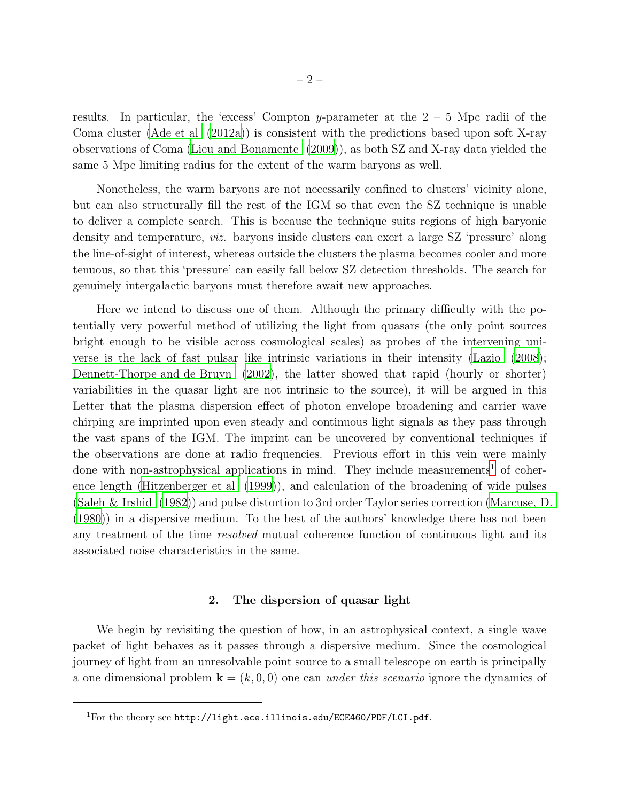results. In particular, the 'excess' Compton y-parameter at the  $2 - 5$  Mpc radii of the Coma cluster [\(Ade et al \(2012a\)](#page-7-4)) is consistent with the predictions based upon soft X-ray observations of Coma [\(Lieu and Bonamente \(2009](#page-8-1))), as both SZ and X-ray data yielded the same 5 Mpc limiting radius for the extent of the warm baryons as well.

Nonetheless, the warm baryons are not necessarily confined to clusters' vicinity alone, but can also structurally fill the rest of the IGM so that even the SZ technique is unable to deliver a complete search. This is because the technique suits regions of high baryonic density and temperature, viz. baryons inside clusters can exert a large SZ 'pressure' along the line-of-sight of interest, whereas outside the clusters the plasma becomes cooler and more tenuous, so that this 'pressure' can easily fall below SZ detection thresholds. The search for genuinely intergalactic baryons must therefore await new approaches.

Here we intend to discuss one of them. Although the primary difficulty with the potentially very powerful method of utilizing the light from quasars (the only point sources bright enough to be visible across cosmological scales) as probes of the intervening universe is the lack of fast pulsar like intrinsic variations in their intensity [\(Lazio \(2008](#page-8-2)); [Dennett-Thorpe and de Bruyn \(2002\)](#page-7-6), the latter showed that rapid (hourly or shorter) variabilities in the quasar light are not intrinsic to the source), it will be argued in this Letter that the plasma dispersion effect of photon envelope broadening and carrier wave chirping are imprinted upon even steady and continuous light signals as they pass through the vast spans of the IGM. The imprint can be uncovered by conventional techniques if the observations are done at radio frequencies. Previous effort in this vein were mainly done with non-astrophysical applications in mind. They include measurements<sup>[1](#page-1-0)</sup> of coherence length [\(Hitzenberger et al \(1999\)](#page-8-3)), and calculation of the broadening of wide pulses [\(Saleh & Irshid \(1982\)](#page-8-4)) and pulse distortion to 3rd order Taylor series correction [\(Marcuse, D.](#page-8-5) [\(1980\)](#page-8-5)) in a dispersive medium. To the best of the authors' knowledge there has not been any treatment of the time *resolved* mutual coherence function of continuous light and its associated noise characteristics in the same.

### 2. The dispersion of quasar light

We begin by revisiting the question of how, in an astrophysical context, a single wave packet of light behaves as it passes through a dispersive medium. Since the cosmological journey of light from an unresolvable point source to a small telescope on earth is principally a one dimensional problem  $\mathbf{k} = (k, 0, 0)$  one can under this scenario ignore the dynamics of

<span id="page-1-0"></span><sup>&</sup>lt;sup>1</sup>For the theory see http://light.ece.illinois.edu/ECE460/PDF/LCI.pdf.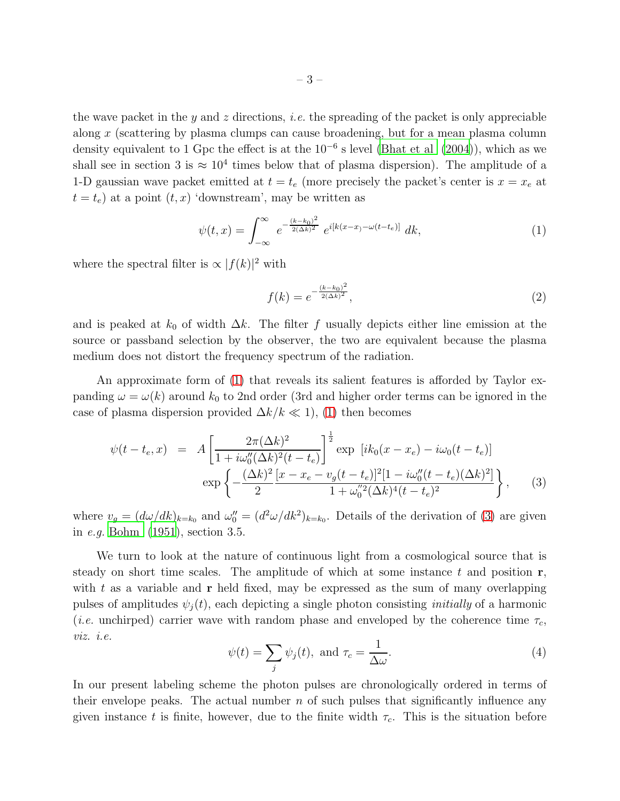the wave packet in the y and z directions, *i.e.* the spreading of the packet is only appreciable along x (scattering by plasma clumps can cause broadening, but for a mean plasma column density equivalent to 1 Gpc the effect is at the  $10^{-6}$  s level (Bhat et al  $(2004)$ ), which as we shall see in section 3 is  $\approx 10^4$  times below that of plasma dispersion). The amplitude of a 1-D gaussian wave packet emitted at  $t = t_e$  (more precisely the packet's center is  $x = x_e$  at  $t = t_e$ ) at a point  $(t, x)$  'downstream', may be written as

<span id="page-2-0"></span>
$$
\psi(t,x) = \int_{-\infty}^{\infty} e^{-\frac{(k-k_0)^2}{2(\Delta k)^2}} e^{i[k(x-x) - \omega(t-t_e)]} dk,
$$
\n(1)

where the spectral filter is  $\propto |f(k)|^2$  with

$$
f(k) = e^{-\frac{(k-k_0)^2}{2(\Delta k)^2}},
$$
\n(2)

and is peaked at  $k_0$  of width  $\Delta k$ . The filter f usually depicts either line emission at the source or passband selection by the observer, the two are equivalent because the plasma medium does not distort the frequency spectrum of the radiation.

An approximate form of [\(1\)](#page-2-0) that reveals its salient features is afforded by Taylor expanding  $\omega = \omega(k)$  around  $k_0$  to 2nd order (3rd and higher order terms can be ignored in the case of plasma dispersion provided  $\Delta k/k \ll 1$ , [\(1\)](#page-2-0) then becomes

<span id="page-2-1"></span>
$$
\psi(t - t_e, x) = A \left[ \frac{2\pi (\Delta k)^2}{1 + i\omega_0''(\Delta k)^2 (t - t_e)} \right]^{\frac{1}{2}} \exp\left[i k_0 (x - x_e) - i\omega_0 (t - t_e)\right]
$$
  
\n
$$
\exp\left\{-\frac{(\Delta k)^2}{2} \frac{[x - x_e - v_g(t - t_e)]^2 [1 - i\omega_0'' (t - t_e)(\Delta k)^2]}{1 + \omega_0''^2(\Delta k)^4 (t - t_e)^2}\right\},
$$
\n(3)

where  $v_g = (d\omega/dk)_{k=k_0}$  and  $\omega_0'' = (d^2\omega/dk^2)_{k=k_0}$ . Details of the derivation of [\(3\)](#page-2-1) are given in e.g. [Bohm \(1951\)](#page-7-8), section 3.5.

We turn to look at the nature of continuous light from a cosmological source that is steady on short time scales. The amplitude of which at some instance  $t$  and position  $r$ , with  $t$  as a variable and  $r$  held fixed, may be expressed as the sum of many overlapping pulses of amplitudes  $\psi_i(t)$ , each depicting a single photon consisting *initially* of a harmonic (*i.e.* unchirped) carrier wave with random phase and enveloped by the coherence time  $\tau_c$ , viz. i.e.

<span id="page-2-2"></span>
$$
\psi(t) = \sum_{j} \psi_j(t), \text{ and } \tau_c = \frac{1}{\Delta \omega}.
$$
\n(4)

In our present labeling scheme the photon pulses are chronologically ordered in terms of their envelope peaks. The actual number  $n$  of such pulses that significantly influence any given instance t is finite, however, due to the finite width  $\tau_c$ . This is the situation before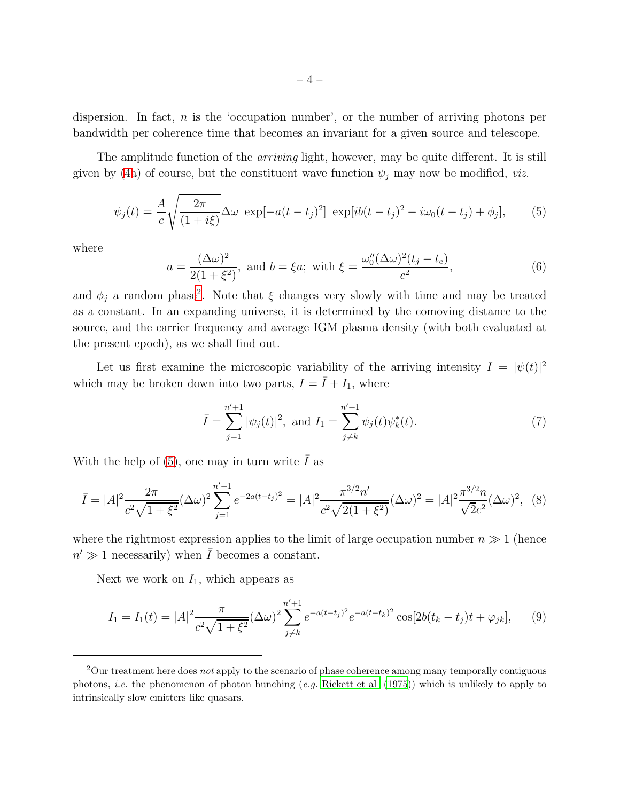dispersion. In fact,  $n$  is the 'occupation number', or the number of arriving photons per bandwidth per coherence time that becomes an invariant for a given source and telescope.

The amplitude function of the *arriving* light, however, may be quite different. It is still given by [\(4a](#page-2-2)) of course, but the constituent wave function  $\psi_j$  may now be modified, *viz.* 

<span id="page-3-1"></span>
$$
\psi_j(t) = \frac{A}{c} \sqrt{\frac{2\pi}{(1+i\xi)}} \Delta \omega \exp[-a(t-t_j)^2] \exp[i b(t-t_j)^2 - i\omega_0(t-t_j) + \phi_j], \qquad (5)
$$

where

<span id="page-3-4"></span>
$$
a = \frac{(\Delta\omega)^2}{2(1+\xi^2)}, \text{ and } b = \xi a; \text{ with } \xi = \frac{\omega_0''(\Delta\omega)^2(t_j - t_e)}{c^2},\tag{6}
$$

and  $\phi_j$  a random phase<sup>[2](#page-3-0)</sup>. Note that  $\xi$  changes very slowly with time and may be treated as a constant. In an expanding universe, it is determined by the comoving distance to the source, and the carrier frequency and average IGM plasma density (with both evaluated at the present epoch), as we shall find out.

Let us first examine the microscopic variability of the arriving intensity  $I = |\psi(t)|^2$ which may be broken down into two parts,  $I = \overline{I} + I_1$ , where

<span id="page-3-3"></span>
$$
\bar{I} = \sum_{j=1}^{n'+1} |\psi_j(t)|^2, \text{ and } I_1 = \sum_{j\neq k}^{n'+1} \psi_j(t) \psi_k^*(t). \tag{7}
$$

With the help of [\(5\)](#page-3-1), one may in turn write  $\overline{I}$  as

$$
\bar{I} = |A|^2 \frac{2\pi}{c^2 \sqrt{1+\xi^2}} (\Delta \omega)^2 \sum_{j=1}^{n'+1} e^{-2a(t-t_j)^2} = |A|^2 \frac{\pi^{3/2} n'}{c^2 \sqrt{2(1+\xi^2)}} (\Delta \omega)^2 = |A|^2 \frac{\pi^{3/2} n}{\sqrt{2}c^2} (\Delta \omega)^2, \tag{8}
$$

where the rightmost expression applies to the limit of large occupation number  $n \gg 1$  (hence  $n' \gg 1$  necessarily) when  $\overline{I}$  becomes a constant.

Next we work on  $I_1$ , which appears as

<span id="page-3-2"></span>
$$
I_1 = I_1(t) = |A|^2 \frac{\pi}{c^2 \sqrt{1 + \xi^2}} (\Delta \omega)^2 \sum_{j \neq k}^{n'+1} e^{-a(t - t_j)^2} e^{-a(t - t_k)^2} \cos[2b(t_k - t_j)t + \varphi_{jk}], \tag{9}
$$

<span id="page-3-0"></span><sup>&</sup>lt;sup>2</sup>Our treatment here does not apply to the scenario of phase coherence among many temporally contiguous photons, *i.e.* the phenomenon of photon bunching  $(e.g.$  Rickett et al  $(1975)$ ) which is unlikely to apply to intrinsically slow emitters like quasars.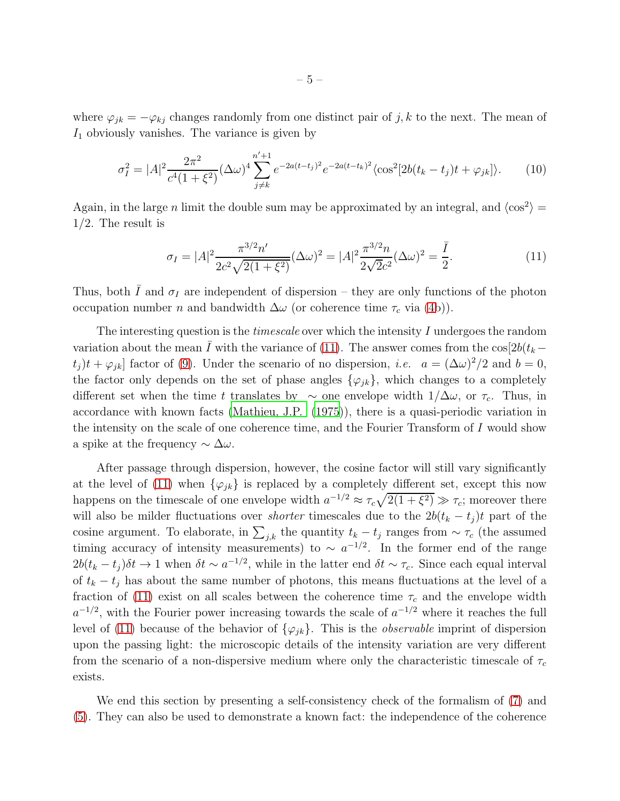where  $\varphi_{jk} = -\varphi_{kj}$  changes randomly from one distinct pair of j, k to the next. The mean of  $I_1$  obviously vanishes. The variance is given by

$$
\sigma_I^2 = |A|^2 \frac{2\pi^2}{c^4 (1+\xi^2)} (\Delta \omega)^4 \sum_{j \neq k}^{n'+1} e^{-2a(t-t_j)^2} e^{-2a(t-t_k)^2} \langle \cos^2[2b(t_k - t_j)t + \varphi_{jk}] \rangle.
$$
 (10)

Again, in the large *n* limit the double sum may be approximated by an integral, and  $\langle \cos^2 \rangle$  = 1/2. The result is

<span id="page-4-0"></span>
$$
\sigma_I = |A|^2 \frac{\pi^{3/2} n'}{2c^2 \sqrt{2(1+\xi^2)}} (\Delta \omega)^2 = |A|^2 \frac{\pi^{3/2} n}{2\sqrt{2}c^2} (\Delta \omega)^2 = \frac{\bar{I}}{2}.
$$
\n(11)

Thus, both  $\bar{I}$  and  $\sigma_I$  are independent of dispersion – they are only functions of the photon occupation number *n* and bandwidth  $\Delta\omega$  (or coherence time  $\tau_c$  via [\(4b](#page-2-2))).

The interesting question is the *timescale* over which the intensity  $I$  undergoes the random variation about the mean  $\bar{I}$  with the variance of [\(11\)](#page-4-0). The answer comes from the cos[2b( $t_k$  –  $(t_j)t + \varphi_{jk}$  factor of [\(9\)](#page-3-2). Under the scenario of no dispersion, *i.e.*  $a = (\Delta \omega)^2/2$  and  $b = 0$ , the factor only depends on the set of phase angles  $\{\varphi_{jk}\}\,$ , which changes to a completely different set when the time t translates by  $\sim$  one envelope width  $1/\Delta\omega$ , or  $\tau_c$ . Thus, in accordance with known facts [\(Mathieu, J.P. \(1975](#page-8-7))), there is a quasi-periodic variation in the intensity on the scale of one coherence time, and the Fourier Transform of I would show a spike at the frequency  $\sim \Delta \omega$ .

After passage through dispersion, however, the cosine factor will still vary significantly at the level of [\(11\)](#page-4-0) when  $\{\varphi_{jk}\}\$ is replaced by a completely different set, except this now happens on the timescale of one envelope width  $a^{-1/2} \approx \tau_c \sqrt{2(1+\xi^2)} \gg \tau_c$ ; moreover there will also be milder fluctuations over *shorter* timescales due to the  $2b(t_k - t_j)t$  part of the cosine argument. To elaborate, in  $\sum_{j,k}$  the quantity  $t_k - t_j$  ranges from  $\sim \tau_c$  (the assumed timing accuracy of intensity measurements) to  $\sim a^{-1/2}$ . In the former end of the range  $2b(t_k-t_j)\delta t \to 1$  when  $\delta t \sim a^{-1/2}$ , while in the latter end  $\delta t \sim \tau_c$ . Since each equal interval of  $t_k - t_j$  has about the same number of photons, this means fluctuations at the level of a fraction of [\(11\)](#page-4-0) exist on all scales between the coherence time  $\tau_c$  and the envelope width  $a^{-1/2}$ , with the Fourier power increasing towards the scale of  $a^{-1/2}$  where it reaches the full level of [\(11\)](#page-4-0) because of the behavior of  $\{\varphi_{ik}\}\$ . This is the *observable* imprint of dispersion upon the passing light: the microscopic details of the intensity variation are very different from the scenario of a non-dispersive medium where only the characteristic timescale of  $\tau_c$ exists.

We end this section by presenting a self-consistency check of the formalism of [\(7\)](#page-3-3) and [\(5\)](#page-3-1). They can also be used to demonstrate a known fact: the independence of the coherence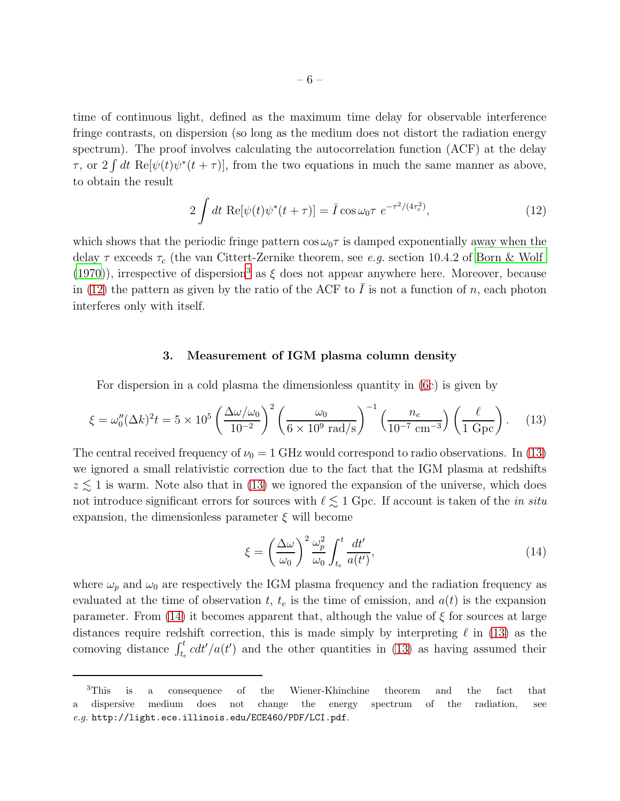time of continuous light, defined as the maximum time delay for observable interference fringe contrasts, on dispersion (so long as the medium does not distort the radiation energy spectrum). The proof involves calculating the autocorrelation function (ACF) at the delay  $\tau$ , or  $2 \int dt \text{ Re}[\psi(t)\psi^*(t+\tau)]$ , from the two equations in much the same manner as above, to obtain the result

<span id="page-5-1"></span>
$$
2\int dt \ \text{Re}[\psi(t)\psi^*(t+\tau)] = \bar{I}\cos\omega_0\tau \ e^{-\tau^2/(4\tau_c^2)},\tag{12}
$$

which shows that the periodic fringe pattern  $\cos \omega_0 \tau$  is damped exponentially away when the delay  $\tau$  exceeds  $\tau_c$  (the van Cittert-Zernike theorem, see e.g. section 10.4.2 of [Born & Wolf](#page-7-9) [\(1970\)](#page-7-9)), irrespective of dispersion<sup>[3](#page-5-0)</sup> as  $\xi$  does not appear anywhere here. Moreover, because in [\(12\)](#page-5-1) the pattern as given by the ratio of the ACF to  $\overline{I}$  is not a function of n, each photon interferes only with itself.

### 3. Measurement of IGM plasma column density

For dispersion in a cold plasma the dimensionless quantity in [\(6c](#page-3-4)) is given by

<span id="page-5-2"></span>
$$
\xi = \omega_0''(\Delta k)^2 t = 5 \times 10^5 \left(\frac{\Delta \omega / \omega_0}{10^{-2}}\right)^2 \left(\frac{\omega_0}{6 \times 10^9 \text{ rad/s}}\right)^{-1} \left(\frac{n_e}{10^{-7} \text{ cm}^{-3}}\right) \left(\frac{\ell}{1 \text{ Gpc}}\right). \tag{13}
$$

The central received frequency of  $\nu_0 = 1$  GHz would correspond to radio observations. In [\(13\)](#page-5-2) we ignored a small relativistic correction due to the fact that the IGM plasma at redshifts  $z \lesssim 1$  is warm. Note also that in [\(13\)](#page-5-2) we ignored the expansion of the universe, which does not introduce significant errors for sources with  $\ell \lesssim 1$  Gpc. If account is taken of the *in situ* expansion, the dimensionless parameter  $\xi$  will become

<span id="page-5-3"></span>
$$
\xi = \left(\frac{\Delta\omega}{\omega_0}\right)^2 \frac{\omega_p^2}{\omega_0} \int_{t_e}^t \frac{dt'}{a(t')},\tag{14}
$$

where  $\omega_p$  and  $\omega_0$  are respectively the IGM plasma frequency and the radiation frequency as evaluated at the time of observation t,  $t_e$  is the time of emission, and  $a(t)$  is the expansion parameter. From [\(14\)](#page-5-3) it becomes apparent that, although the value of  $\xi$  for sources at large distances require redshift correction, this is made simply by interpreting  $\ell$  in [\(13\)](#page-5-2) as the comoving distance  $\int_{t_e}^t c dt'/a(t')$  and the other quantities in [\(13\)](#page-5-2) as having assumed their

<span id="page-5-0"></span><sup>3</sup>This is a consequence of the Wiener-Khinchine theorem and the fact that dispersive medium does not change the energy spectrum of the radiation, see e.g. http://light.ece.illinois.edu/ECE460/PDF/LCI.pdf.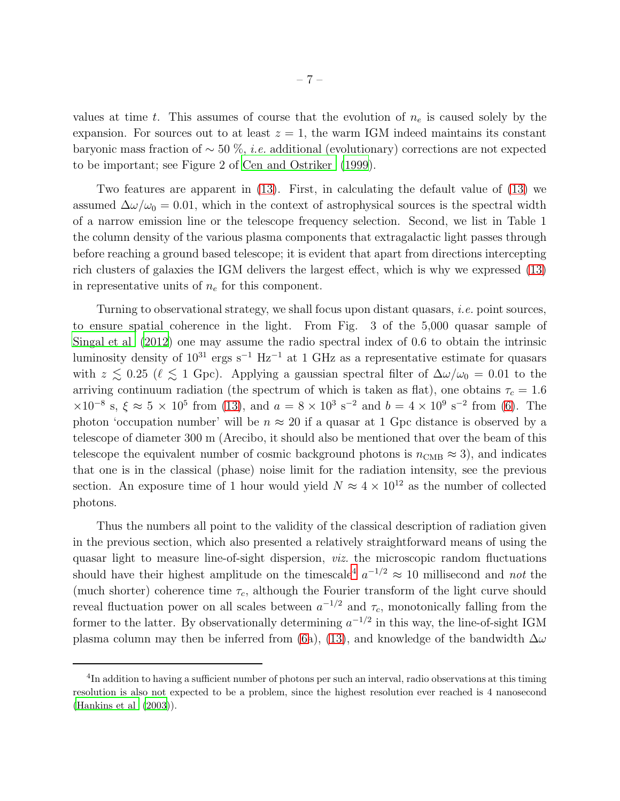values at time t. This assumes of course that the evolution of  $n_e$  is caused solely by the expansion. For sources out to at least  $z = 1$ , the warm IGM indeed maintains its constant baryonic mass fraction of ∼ 50 %, i.e. additional (evolutionary) corrections are not expected to be important; see Figure 2 of [Cen and Ostriker \(1999\)](#page-7-0).

Two features are apparent in [\(13\)](#page-5-2). First, in calculating the default value of [\(13\)](#page-5-2) we assumed  $\Delta\omega/\omega_0 = 0.01$ , which in the context of astrophysical sources is the spectral width of a narrow emission line or the telescope frequency selection. Second, we list in Table 1 the column density of the various plasma components that extragalactic light passes through before reaching a ground based telescope; it is evident that apart from directions intercepting rich clusters of galaxies the IGM delivers the largest effect, which is why we expressed [\(13\)](#page-5-2) in representative units of  $n_e$  for this component.

Turning to observational strategy, we shall focus upon distant quasars, i.e. point sources, to ensure spatial coherence in the light. From Fig. 3 of the 5,000 quasar sample of [Singal et al \(2012](#page-8-8)) one may assume the radio spectral index of 0.6 to obtain the intrinsic luminosity density of  $10^{31}$  ergs s<sup>-1</sup> Hz<sup>-1</sup> at 1 GHz as a representative estimate for quasars with  $z \lesssim 0.25$  ( $\ell \lesssim 1$  Gpc). Applying a gaussian spectral filter of  $\Delta\omega/\omega_0 = 0.01$  to the arriving continuum radiation (the spectrum of which is taken as flat), one obtains  $\tau_c = 1.6$  $\times 10^{-8}$  s,  $\xi \approx 5 \times 10^{5}$  from [\(13\)](#page-5-2), and  $a = 8 \times 10^{3}$  s<sup>-2</sup> and  $b = 4 \times 10^{9}$  s<sup>-2</sup> from [\(6\)](#page-3-4). The photon 'occupation number' will be  $n \approx 20$  if a quasar at 1 Gpc distance is observed by a telescope of diameter 300 m (Arecibo, it should also be mentioned that over the beam of this telescope the equivalent number of cosmic background photons is  $n_{\text{CMB}} \approx 3$ , and indicates that one is in the classical (phase) noise limit for the radiation intensity, see the previous section. An exposure time of 1 hour would yield  $N \approx 4 \times 10^{12}$  as the number of collected photons.

Thus the numbers all point to the validity of the classical description of radiation given in the previous section, which also presented a relatively straightforward means of using the quasar light to measure line-of-sight dispersion, viz. the microscopic random fluctuations should have their highest amplitude on the timescale<sup>[4](#page-8-9)</sup>  $a^{-1/2} \approx 10$  millisecond and *not* the (much shorter) coherence time  $\tau_c$ , although the Fourier transform of the light curve should reveal fluctuation power on all scales between  $a^{-1/2}$  and  $\tau_c$ , monotonically falling from the former to the latter. By observationally determining  $a^{-1/2}$  in this way, the line-of-sight IGM plasma column may then be inferred from [\(6a](#page-3-4)), [\(13\)](#page-5-2), and knowledge of the bandwidth  $\Delta\omega$ 

<sup>&</sup>lt;sup>4</sup>In addition to having a sufficient number of photons per such an interval, radio observations at this timing resolution is also not expected to be a problem, since the highest resolution ever reached is 4 nanosecond [\(Hankins et al \(2003\)](#page-7-10)).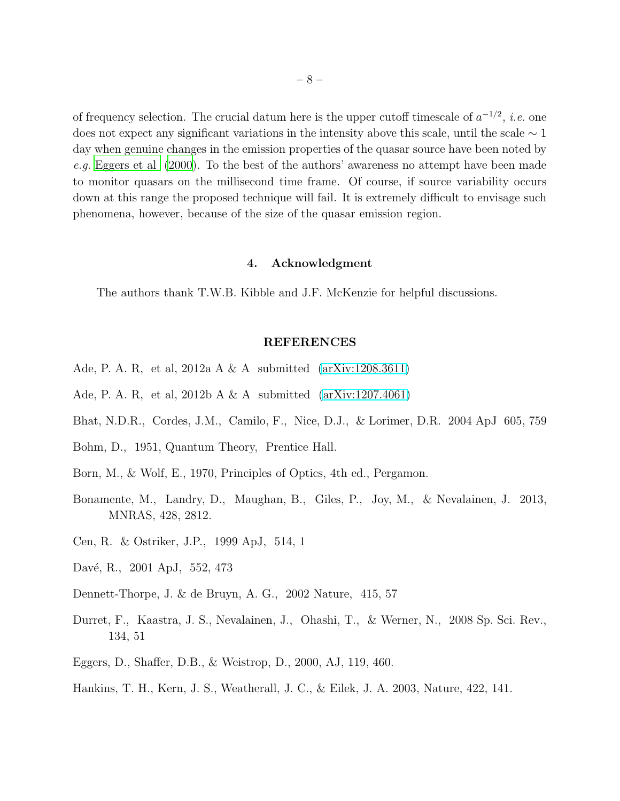of frequency selection. The crucial datum here is the upper cutoff timescale of  $a^{-1/2}$ , *i.e.* one does not expect any significant variations in the intensity above this scale, until the scale  $\sim 1$ day when genuine changes in the emission properties of the quasar source have been noted by e.g. [Eggers et al \(2000\)](#page-7-11). To the best of the authors' awareness no attempt have been made to monitor quasars on the millisecond time frame. Of course, if source variability occurs down at this range the proposed technique will fail. It is extremely difficult to envisage such phenomena, however, because of the size of the quasar emission region.

#### 4. Acknowledgment

The authors thank T.W.B. Kibble and J.F. McKenzie for helpful discussions.

#### REFERENCES

- <span id="page-7-4"></span>Ade, P. A. R, et al, 2012a A & A submitted [\(arXiv:1208.3611\)](http://arxiv.org/abs/1208.3611)
- <span id="page-7-5"></span>Ade, P. A. R, et al,  $2012b A & A$  submitted  $(arXiv:1207.4061)$
- <span id="page-7-7"></span>Bhat, N.D.R., Cordes, J.M., Camilo, F., Nice, D.J., & Lorimer, D.R. 2004 ApJ 605, 759
- <span id="page-7-8"></span>Bohm, D., 1951, Quantum Theory, Prentice Hall.
- <span id="page-7-9"></span>Born, M., & Wolf, E., 1970, Principles of Optics, 4th ed., Pergamon.
- <span id="page-7-2"></span>Bonamente, M., Landry, D., Maughan, B., Giles, P., Joy, M., & Nevalainen, J. 2013, MNRAS, 428, 2812.
- <span id="page-7-0"></span>Cen, R. & Ostriker, J.P., 1999 ApJ, 514, 1
- <span id="page-7-1"></span>Davé, R., 2001 ApJ, 552, 473
- <span id="page-7-6"></span>Dennett-Thorpe, J. & de Bruyn, A. G., 2002 Nature, 415, 57
- <span id="page-7-3"></span>Durret, F., Kaastra, J. S., Nevalainen, J., Ohashi, T., & Werner, N., 2008 Sp. Sci. Rev., 134, 51
- <span id="page-7-11"></span>Eggers, D., Shaffer, D.B., & Weistrop, D., 2000, AJ, 119, 460.
- <span id="page-7-10"></span>Hankins, T. H., Kern, J. S., Weatherall, J. C., & Eilek, J. A. 2003, Nature, 422, 141.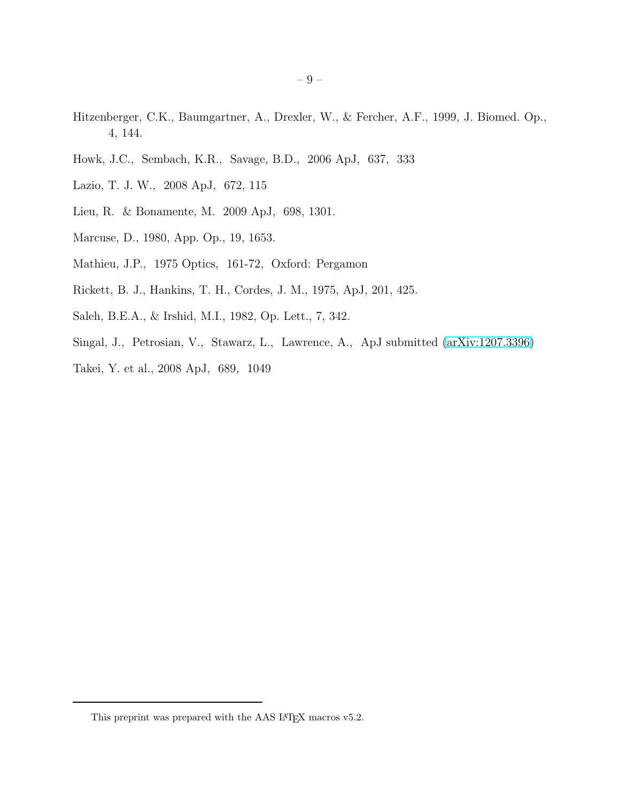- <span id="page-8-3"></span>Hitzenberger, C.K., Baumgartner, A., Drexler, W., & Fercher, A.F., 1999, J. Biomed. Op., 4, 144.
- <span id="page-8-10"></span>Howk, J.C., Sembach, K.R., Savage, B.D., 2006 ApJ, 637, 333
- <span id="page-8-2"></span>Lazio, T. J. W., 2008 ApJ, 672, 115
- <span id="page-8-1"></span>Lieu, R. & Bonamente, M. 2009 ApJ, 698, 1301.
- <span id="page-8-5"></span>Marcuse, D., 1980, App. Op., 19, 1653.
- <span id="page-8-7"></span>Mathieu, J.P., 1975 Optics, 161-72, Oxford: Pergamon
- <span id="page-8-6"></span>Rickett, B. J., Hankins, T. H., Cordes, J. M., 1975, ApJ, 201, 425.
- <span id="page-8-4"></span>Saleh, B.E.A., & Irshid, M.I., 1982, Op. Lett., 7, 342.
- <span id="page-8-8"></span>Singal, J., Petrosian, V., Stawarz, L., Lawrence, A., ApJ submitted [\(arXiv:1207.3396\)](http://arxiv.org/abs/1207.3396)
- <span id="page-8-0"></span>Takei, Y. et al., 2008 ApJ, 689, 1049

<span id="page-8-9"></span>This preprint was prepared with the AAS  $\rm \emph{L4}$  macros v5.2.